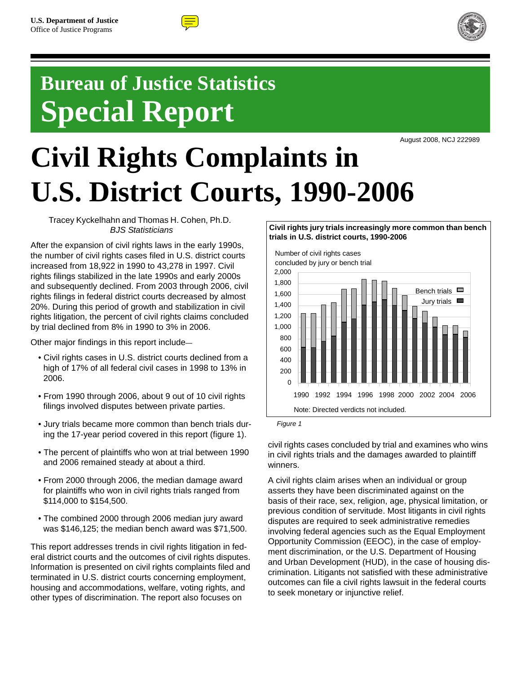



# **Bureau of Justice Statistics Special Report**

August 2008, NCJ 222989

# **Civil Rights Complaints in U.S. District Courts, 1990-2006**

Tracey Kyckelhahn and Thomas H. Cohen, Ph.D. *BJS Statisticians*

After the expansion of civil rights laws in the early 1990s, the number of civil rights cases filed in U.S. district courts increased from 18,922 in 1990 to 43,278 in 1997. Civil rights filings stabilized in the late 1990s and early 2000s and subsequently declined. From 2003 through 2006, civil rights filings in federal district courts decreased by almost 20%. During this period of growth and stabilization in civil rights litigation, the percent of civil rights claims concluded by trial declined from 8% in 1990 to 3% in 2006.

Other major findings in this report include—

- Civil rights cases in U.S. district courts declined from a high of 17% of all federal civil cases in 1998 to 13% in 2006.
- From 1990 through 2006, about 9 out of 10 civil rights filings involved disputes between private parties.
- Jury trials became more common than bench trials during the 17-year period covered in this report (figure 1).
- The percent of plaintiffs who won at trial between 1990 and 2006 remained steady at about a third.
- From 2000 through 2006, the median damage award for plaintiffs who won in civil rights trials ranged from \$114,000 to \$154,500.
- The combined 2000 through 2006 median jury award was \$146,125; the median bench award was \$71,500.

This report addresses trends in civil rights litigation in federal district courts and the outcomes of civil rights disputes. Information is presented on civil rights complaints filed and terminated in U.S. district courts concerning employment, housing and accommodations, welfare, voting rights, and other types of discrimination. The report also focuses on

#### **Civil rights jury trials increasingly more common than bench trials in U.S. district courts, 1990-2006**



*Figure 1*

civil rights cases concluded by trial and examines who wins in civil rights trials and the damages awarded to plaintiff winners.

A civil rights claim arises when an individual or group asserts they have been discriminated against on the basis of their race, sex, religion, age, physical limitation, or previous condition of servitude. Most litigants in civil rights disputes are required to seek administrative remedies involving federal agencies such as the Equal Employment Opportunity Commission (EEOC), in the case of employment discrimination, or the U.S. Department of Housing and Urban Development (HUD), in the case of housing discrimination. Litigants not satisfied with these administrative outcomes can file a civil rights lawsuit in the federal courts to seek monetary or injunctive relief.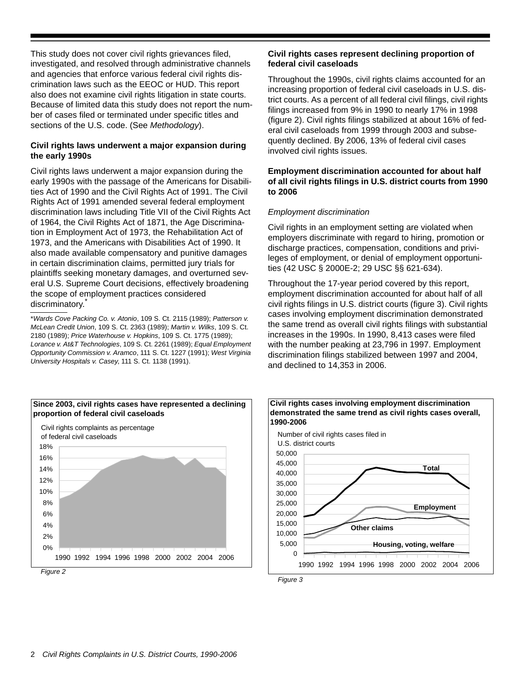This study does not cover civil rights grievances filed, investigated, and resolved through administrative channels and agencies that enforce various federal civil rights discrimination laws such as the EEOC or HUD. This report also does not examine civil rights litigation in state courts. Because of limited data this study does not report the number of cases filed or terminated under specific titles and sections of the U.S. code. (See *Methodology*).

#### **Civil rights laws underwent a major expansion during the early 1990s**

Civil rights laws underwent a major expansion during the early 1990s with the passage of the Americans for Disabilities Act of 1990 and the Civil Rights Act of 1991. The Civil Rights Act of 1991 amended several federal employment discrimination laws including Title VII of the Civil Rights Act of 1964, the Civil Rights Act of 1871, the Age Discrimination in Employment Act of 1973, the Rehabilitation Act of 1973, and the Americans with Disabilities Act of 1990. It also made available compensatory and punitive damages in certain discrimination claims, permitted jury trials for plaintiffs seeking monetary damages, and overturned several U.S. Supreme Court decisions, effectively broadening the scope of employment practices considered discriminatory.

\**Wards Cove Packing Co. v. Atonio*, 109 S. Ct. 2115 (1989); *Patterson v. McLean Credit Union*, 109 S. Ct. 2363 (1989); *Martin v. Wilks*, 109 S. Ct. 2180 (1989); *Price Waterhouse v. Hopkins*, 109 S. Ct. 1775 (1989); *Lorance v. At&T Technologies*, 109 S. Ct. 2261 (1989); *Equal Employment Opportunity Commission v. Aramco*, 111 S. Ct. 1227 (1991); *West Virginia University Hospitals v. Casey*, 111 S. Ct. 1138 (1991).



Throughout the 1990s, civil rights claims accounted for an increasing proportion of federal civil caseloads in U.S. district courts. As a percent of all federal civil filings, civil rights filings increased from 9% in 1990 to nearly 17% in 1998 (figure 2). Civil rights filings stabilized at about 16% of federal civil caseloads from 1999 through 2003 and subsequently declined. By 2006, 13% of federal civil cases involved civil rights issues.

#### **Employment discrimination accounted for about half of all civil rights filings in U.S. district courts from 1990 to 2006**

#### *Employment discrimination*

Civil rights in an employment setting are violated when employers discriminate with regard to hiring, promotion or discharge practices, compensation, conditions and privileges of employment, or denial of employment opportunities (42 USC § 2000E-2; 29 USC §§ 621-634).

Throughout the 17-year period covered by this report, employment discrimination accounted for about half of all civil rights filings in U.S. district courts (figure 3). Civil rights cases involving employment discrimination demonstrated the same trend as overall civil rights filings with substantial increases in the 1990s. In 1990, 8,413 cases were filed with the number peaking at 23,796 in 1997. Employment discrimination filings stabilized between 1997 and 2004, and declined to 14,353 in 2006.



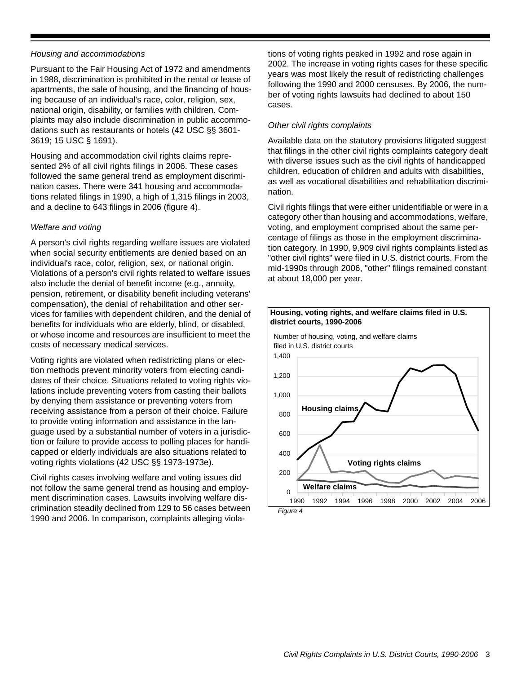#### *Housing and accommodations*

Pursuant to the Fair Housing Act of 1972 and amendments in 1988, discrimination is prohibited in the rental or lease of apartments, the sale of housing, and the financing of housing because of an individual's race, color, religion, sex, national origin, disability, or families with children. Complaints may also include discrimination in public accommodations such as restaurants or hotels (42 USC §§ 3601- 3619; 15 USC § 1691).

Housing and accommodation civil rights claims represented 2% of all civil rights filings in 2006. These cases followed the same general trend as employment discrimination cases. There were 341 housing and accommodations related filings in 1990, a high of 1,315 filings in 2003, and a decline to 643 filings in 2006 (figure 4).

#### *Welfare and voting*

A person's civil rights regarding welfare issues are violated when social security entitlements are denied based on an individual's race, color, religion, sex, or national origin. Violations of a person's civil rights related to welfare issues also include the denial of benefit income (e.g., annuity, pension, retirement, or disability benefit including veterans' compensation), the denial of rehabilitation and other services for families with dependent children, and the denial of benefits for individuals who are elderly, blind, or disabled, or whose income and resources are insufficient to meet the costs of necessary medical services.

Voting rights are violated when redistricting plans or election methods prevent minority voters from electing candidates of their choice. Situations related to voting rights violations include preventing voters from casting their ballots by denying them assistance or preventing voters from receiving assistance from a person of their choice. Failure to provide voting information and assistance in the language used by a substantial number of voters in a jurisdiction or failure to provide access to polling places for handicapped or elderly individuals are also situations related to voting rights violations (42 USC §§ 1973-1973e).

Civil rights cases involving welfare and voting issues did not follow the same general trend as housing and employment discrimination cases. Lawsuits involving welfare discrimination steadily declined from 129 to 56 cases between 1990 and 2006. In comparison, complaints alleging violations of voting rights peaked in 1992 and rose again in 2002. The increase in voting rights cases for these specific years was most likely the result of redistricting challenges following the 1990 and 2000 censuses. By 2006, the number of voting rights lawsuits had declined to about 150 cases.

#### *Other civil rights complaints*

Available data on the statutory provisions litigated suggest that filings in the other civil rights complaints category dealt with diverse issues such as the civil rights of handicapped children, education of children and adults with disabilities, as well as vocational disabilities and rehabilitation discrimination.

Civil rights filings that were either unidentifiable or were in a category other than housing and accommodations, welfare, voting, and employment comprised about the same percentage of filings as those in the employment discrimination category. In 1990, 9,909 civil rights complaints listed as "other civil rights" were filed in U.S. district courts. From the mid-1990s through 2006, "other" filings remained constant at about 18,000 per year.

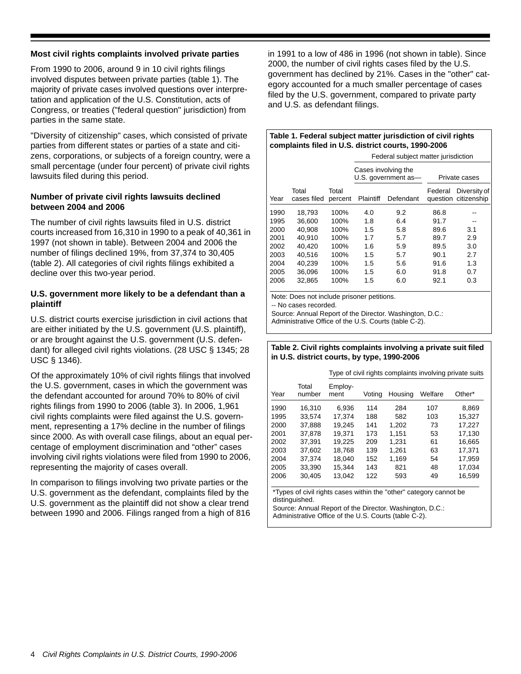#### **Most civil rights complaints involved private parties**

From 1990 to 2006, around 9 in 10 civil rights filings involved disputes between private parties (table 1). The majority of private cases involved questions over interpretation and application of the U.S. Constitution, acts of Congress, or treaties ("federal question" jurisdiction) from parties in the same state.

"Diversity of citizenship" cases, which consisted of private parties from different states or parties of a state and citizens, corporations, or subjects of a foreign country, were a small percentage (under four percent) of private civil rights lawsuits filed during this period.

#### **Number of private civil rights lawsuits declined between 2004 and 2006**

The number of civil rights lawsuits filed in U.S. district courts increased from 16,310 in 1990 to a peak of 40,361 in 1997 (not shown in table). Between 2004 and 2006 the number of filings declined 19%, from 37,374 to 30,405 (table 2). All categories of civil rights filings exhibited a decline over this two-year period.

#### **U.S. government more likely to be a defendant than a plaintiff**

U.S. district courts exercise jurisdiction in civil actions that are either initiated by the U.S. government (U.S. plaintiff), or are brought against the U.S. government (U.S. defendant) for alleged civil rights violations. (28 USC § 1345; 28 USC § 1346).

Of the approximately 10% of civil rights filings that involved the U.S. government, cases in which the government was the defendant accounted for around 70% to 80% of civil rights filings from 1990 to 2006 (table 3). In 2006, 1,961 civil rights complaints were filed against the U.S. government, representing a 17% decline in the number of filings since 2000. As with overall case filings, about an equal percentage of employment discrimination and "other" cases involving civil rights violations were filed from 1990 to 2006, representing the majority of cases overall.

In comparison to filings involving two private parties or the U.S. government as the defendant, complaints filed by the U.S. government as the plaintiff did not show a clear trend between 1990 and 2006. Filings ranged from a high of 816 in 1991 to a low of 486 in 1996 (not shown in table). Since 2000, the number of civil rights cases filed by the U.S. government has declined by 21%. Cases in the "other" category accounted for a much smaller percentage of cases filed by the U.S. government, compared to private party and U.S. as defendant filings.

#### **Table 1. Federal subject matter jurisdiction of civil rights complaints filed in U.S. district courts, 1990-2006**

|      |                      |                  | Federal subject matter jurisdiction |                     |         |                                      |  |
|------|----------------------|------------------|-------------------------------------|---------------------|---------|--------------------------------------|--|
|      |                      |                  | Cases involving the                 | U.S. government as- |         | Private cases                        |  |
| Year | Total<br>cases filed | Total<br>percent | Plaintiff                           | Defendant           | Federal | Diversity of<br>question citizenship |  |
| 1990 | 18.793               | 100%             | 4.0                                 | 9.2                 | 86.8    |                                      |  |
| 1995 | 36.600               | 100%             | 1.8                                 | 6.4                 | 91.7    | --                                   |  |
| 2000 | 40.908               | 100%             | 1.5                                 | 5.8                 | 89.6    | 3.1                                  |  |
| 2001 | 40.910               | 100%             | 1.7                                 | 5.7                 | 89.7    | 2.9                                  |  |
| 2002 | 40.420               | 100%             | 1.6                                 | 5.9                 | 89.5    | 3.0                                  |  |
| 2003 | 40.516               | 100%             | 1.5                                 | 5.7                 | 90.1    | 2.7                                  |  |
| 2004 | 40.239               | 100%             | 1.5                                 | 5.6                 | 91.6    | 1.3                                  |  |
| 2005 | 36.096               | 100%             | 1.5                                 | 6.0                 | 91.8    | 0.7                                  |  |
| 2006 | 32.865               | 100%             | 1.5                                 | 6.0                 | 92.1    | 0.3                                  |  |

Note: Does not include prisoner petitions.

-- No cases recorded.

Source: Annual Report of the Director. Washington, D.C.:

Administrative Office of the U.S. Courts (table C-2).

#### **Table 2. Civil rights complaints involving a private suit filed in U.S. district courts, by type, 1990-2006**

|      |                 | Type of civil rights complaints involving private suits |        |         |         |        |  |
|------|-----------------|---------------------------------------------------------|--------|---------|---------|--------|--|
| Year | Total<br>number | Employ-<br>ment                                         | Voting | Housing | Welfare | Other* |  |
| 1990 | 16.310          | 6.936                                                   | 114    | 284     | 107     | 8.869  |  |
| 1995 | 33.574          | 17.374                                                  | 188    | 582     | 103     | 15.327 |  |
| 2000 | 37.888          | 19.245                                                  | 141    | 1.202   | 73      | 17.227 |  |
| 2001 | 37.878          | 19.371                                                  | 173    | 1.151   | 53      | 17.130 |  |
| 2002 | 37.391          | 19.225                                                  | 209    | 1.231   | 61      | 16.665 |  |
| 2003 | 37.602          | 18.768                                                  | 139    | 1.261   | 63      | 17,371 |  |
| 2004 | 37.374          | 18,040                                                  | 152    | 1.169   | 54      | 17.959 |  |
| 2005 | 33.390          | 15,344                                                  | 143    | 821     | 48      | 17.034 |  |
| 2006 | 30.405          | 13.042                                                  | 122    | 593     | 49      | 16.599 |  |

\*Types of civil rights cases within the "other" category cannot be distinguished.

Source: Annual Report of the Director. Washington, D.C.: Administrative Office of the U.S. Courts (table C-2).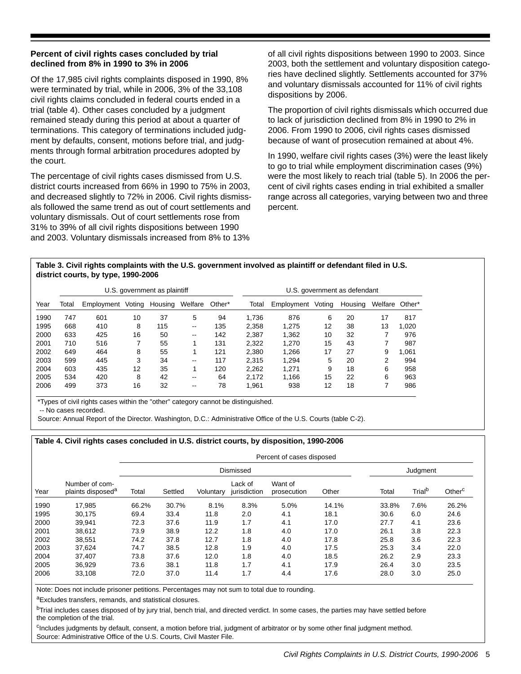#### **Percent of civil rights cases concluded by trial declined from 8% in 1990 to 3% in 2006**

Of the 17,985 civil rights complaints disposed in 1990, 8% were terminated by trial, while in 2006, 3% of the 33,108 civil rights claims concluded in federal courts ended in a trial (table 4). Other cases concluded by a judgment remained steady during this period at about a quarter of terminations. This category of terminations included judgment by defaults, consent, motions before trial, and judgments through formal arbitration procedures adopted by the court.

The percentage of civil rights cases dismissed from U.S. district courts increased from 66% in 1990 to 75% in 2003, and decreased slightly to 72% in 2006. Civil rights dismissals followed the same trend as out of court settlements and voluntary dismissals. Out of court settlements rose from 31% to 39% of all civil rights dispositions between 1990 and 2003. Voluntary dismissals increased from 8% to 13%

of all civil rights dispositions between 1990 to 2003. Since 2003, both the settlement and voluntary disposition categories have declined slightly. Settlements accounted for 37% and voluntary dismissals accounted for 11% of civil rights dispositions by 2006.

The proportion of civil rights dismissals which occurred due to lack of jurisdiction declined from 8% in 1990 to 2% in 2006. From 1990 to 2006, civil rights cases dismissed because of want of prosecution remained at about 4%.

In 1990, welfare civil rights cases (3%) were the least likely to go to trial while employment discrimination cases (9%) were the most likely to reach trial (table 5). In 2006 the percent of civil rights cases ending in trial exhibited a smaller range across all categories, varying between two and three percent.

#### **Table 3. Civil rights complaints with the U.S. government involved as plaintiff or defendant filed in U.S. district courts, by type, 1990-2006**

| U.S. government as plaintiff |       |            |        |         |                          |        |       | U.S. government as defendant |        |         |         |        |
|------------------------------|-------|------------|--------|---------|--------------------------|--------|-------|------------------------------|--------|---------|---------|--------|
| Year                         | Total | Employment | Votina | Housing | Welfare                  | Other* | Total | Employment                   | Voting | Housing | Welfare | Other* |
| 1990                         | 747   | 601        | 10     | 37      | 5                        | 94     | 1.736 | 876                          | 6      | 20      | 17      | 817    |
| 1995                         | 668   | 410        | 8      | 115     | $\overline{\phantom{a}}$ | 135    | 2.358 | 1.275                        | 12     | 38      | 13      | 1.020  |
| 2000                         | 633   | 425        | 16     | 50      | $\overline{\phantom{a}}$ | 142    | 2.387 | 1.362                        | 10     | 32      | 7       | 976    |
| 2001                         | 710   | 516        |        | 55      |                          | 131    | 2.322 | 1.270                        | 15     | 43      |         | 987    |
| 2002                         | 649   | 464        | 8      | 55      |                          | 121    | 2.380 | 1.266                        | 17     | 27      | 9       | 1.061  |
| 2003                         | 599   | 445        | 3      | 34      | $\overline{\phantom{a}}$ | 117    | 2.315 | 1.294                        | 5      | 20      | 2       | 994    |
| 2004                         | 603   | 435        | 12     | 35      |                          | 120    | 2.262 | 1.271                        | 9      | 18      | 6       | 958    |
| 2005                         | 534   | 420        | 8      | 42      | $\overline{\phantom{a}}$ | 64     | 2.172 | 1.166                        | 15     | 22      | 6       | 963    |
| 2006                         | 499   | 373        | 16     | 32      | $\overline{\phantom{m}}$ | 78     | 1,961 | 938                          | 12     | 18      | ⇁       | 986    |

\*Types of civil rights cases within the "other" category cannot be distinguished.

-- No cases recorded.

Source: Annual Report of the Director. Washington, D.C.: Administrative Office of the U.S. Courts (table C-2).

#### **Table 4. Civil rights cases concluded in U.S. district courts, by disposition, 1990-2006**

|      |                                                 | Percent of cases disposed |         |           |                         |                        |       |       |                    |                    |
|------|-------------------------------------------------|---------------------------|---------|-----------|-------------------------|------------------------|-------|-------|--------------------|--------------------|
|      |                                                 |                           |         |           | Dismissed               |                        |       |       | Judgment           |                    |
| Year | Number of com-<br>plaints disposed <sup>a</sup> | Total                     | Settled | Voluntary | Lack of<br>jurisdiction | Want of<br>prosecution | Other | Total | Trial <sup>b</sup> | Other <sup>c</sup> |
| 1990 | 17,985                                          | 66.2%                     | 30.7%   | 8.1%      | 8.3%                    | 5.0%                   | 14.1% | 33.8% | 7.6%               | 26.2%              |
| 1995 | 30,175                                          | 69.4                      | 33.4    | 11.8      | 2.0                     | 4.1                    | 18.1  | 30.6  | 6.0                | 24.6               |
| 2000 | 39.941                                          | 72.3                      | 37.6    | 11.9      | 1.7                     | 4.1                    | 17.0  | 27.7  | 4.1                | 23.6               |
| 2001 | 38.612                                          | 73.9                      | 38.9    | 12.2      | 1.8                     | 4.0                    | 17.0  | 26.1  | 3.8                | 22.3               |
| 2002 | 38,551                                          | 74.2                      | 37.8    | 12.7      | 1.8                     | 4.0                    | 17.8  | 25.8  | 3.6                | 22.3               |
| 2003 | 37,624                                          | 74.7                      | 38.5    | 12.8      | 1.9                     | 4.0                    | 17.5  | 25.3  | 3.4                | 22.0               |
| 2004 | 37,407                                          | 73.8                      | 37.6    | 12.0      | 1.8                     | 4.0                    | 18.5  | 26.2  | 2.9                | 23.3               |
| 2005 | 36.929                                          | 73.6                      | 38.1    | 11.8      | 1.7                     | 4.1                    | 17.9  | 26.4  | 3.0                | 23.5               |
| 2006 | 33,108                                          | 72.0                      | 37.0    | 11.4      | 1.7                     | 4.4                    | 17.6  | 28.0  | 3.0                | 25.0               |

Note: Does not include prisoner petitions. Percentages may not sum to total due to rounding.

aExcludes transfers, remands, and statistical closures.

bTrial includes cases disposed of by jury trial, bench trial, and directed verdict. In some cases, the parties may have settled before the completion of the trial.

<sup>c</sup>Includes judgments by default, consent, a motion before trial, judgment of arbitrator or by some other final judgment method. Source: Administrative Office of the U.S. Courts, Civil Master File.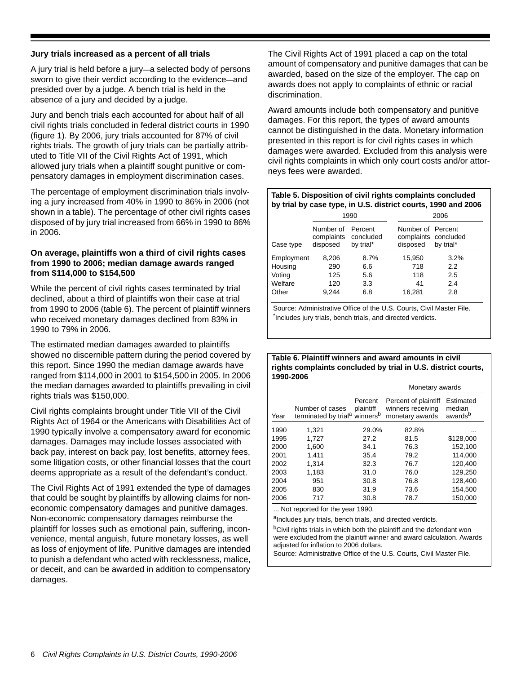#### **Jury trials increased as a percent of all trials**

A jury trial is held before a jury—a selected body of persons sworn to give their verdict according to the evidence—and presided over by a judge. A bench trial is held in the absence of a jury and decided by a judge.

Jury and bench trials each accounted for about half of all civil rights trials concluded in federal district courts in 1990 (figure 1). By 2006, jury trials accounted for 87% of civil rights trials. The growth of jury trials can be partially attributed to Title VII of the Civil Rights Act of 1991, which allowed jury trials when a plaintiff sought punitive or compensatory damages in employment discrimination cases.

The percentage of employment discrimination trials involving a jury increased from 40% in 1990 to 86% in 2006 (not shown in a table). The percentage of other civil rights cases disposed of by jury trial increased from 66% in 1990 to 86% in 2006.

#### **On average, plaintiffs won a third of civil rights cases from 1990 to 2006; median damage awards ranged from \$114,000 to \$154,500**

While the percent of civil rights cases terminated by trial declined, about a third of plaintiffs won their case at trial from 1990 to 2006 (table 6). The percent of plaintiff winners who received monetary damages declined from 83% in 1990 to 79% in 2006.

The estimated median damages awarded to plaintiffs showed no discernible pattern during the period covered by this report. Since 1990 the median damage awards have ranged from \$114,000 in 2001 to \$154,500 in 2005. In 2006 the median damages awarded to plaintiffs prevailing in civil rights trials was \$150,000.

Civil rights complaints brought under Title VII of the Civil Rights Act of 1964 or the Americans with Disabilities Act of 1990 typically involve a compensatory award for economic damages. Damages may include losses associated with back pay, interest on back pay, lost benefits, attorney fees, some litigation costs, or other financial losses that the court deems appropriate as a result of the defendant's conduct.

The Civil Rights Act of 1991 extended the type of damages that could be sought by plaintiffs by allowing claims for noneconomic compensatory damages and punitive damages. Non-economic compensatory damages reimburse the plaintiff for losses such as emotional pain, suffering, inconvenience, mental anguish, future monetary losses, as well as loss of enjoyment of life. Punitive damages are intended to punish a defendant who acted with recklessness, malice, or deceit, and can be awarded in addition to compensatory damages.

The Civil Rights Act of 1991 placed a cap on the total amount of compensatory and punitive damages that can be awarded, based on the size of the employer. The cap on awards does not apply to complaints of ethnic or racial discrimination.

Award amounts include both compensatory and punitive damages. For this report, the types of award amounts cannot be distinguished in the data. Monetary information presented in this report is for civil rights cases in which damages were awarded. Excluded from this analysis were civil rights complaints in which only court costs and/or attorneys fees were awarded.

#### **Table 5. Disposition of civil rights complaints concluded by trial by case type, in U.S. district courts, 1990 and 2006**

|            | 1990                                |                                   |  | 2006                          |                                   |  |
|------------|-------------------------------------|-----------------------------------|--|-------------------------------|-----------------------------------|--|
| Case type  | Number of<br>complaints<br>disposed | Percent<br>concluded<br>by trial* |  | Number of Percent<br>disposed | complaints concluded<br>by trial* |  |
| Employment | 8.206                               | 8.7%                              |  | 15,950                        | 3.2%                              |  |
| Housing    | 290                                 | 6.6                               |  | 718                           | 2.2                               |  |
| Voting     | 125                                 | 5.6                               |  | 118                           | 2.5                               |  |
| Welfare    | 120                                 | 3.3                               |  | 41                            | 2.4                               |  |
| Other      | 9.244                               | 6.8                               |  | 16,281                        | 2.8                               |  |

Source: Administrative Office of the U.S. Courts, Civil Master File. \* Includes jury trials, bench trials, and directed verdicts.

#### **Table 6. Plaintiff winners and award amounts in civil rights complaints concluded by trial in U.S. district courts, 1990-2006**

|      |                                                                          |                      | Monetary awards                                              |                                            |  |
|------|--------------------------------------------------------------------------|----------------------|--------------------------------------------------------------|--------------------------------------------|--|
| Year | Number of cases<br>terminated by trial <sup>a</sup> winners <sup>b</sup> | Percent<br>plaintiff | Percent of plaintiff<br>winners receiving<br>monetary awards | Estimated<br>median<br>awards <sup>b</sup> |  |
| 1990 | 1.321                                                                    | 29.0%                | 82.8%                                                        |                                            |  |
| 1995 | 1,727                                                                    | 27.2                 | 81.5                                                         | \$128,000                                  |  |
| 2000 | 1,600                                                                    | 34.1                 | 76.3                                                         | 152,100                                    |  |
| 2001 | 1.411                                                                    | 35.4                 | 79.2                                                         | 114.000                                    |  |
| 2002 | 1.314                                                                    | 32.3                 | 76.7                                                         | 120,400                                    |  |
| 2003 | 1,183                                                                    | 31.0                 | 76.0                                                         | 129,250                                    |  |
| 2004 | 951                                                                      | 30.8                 | 76.8                                                         | 128.400                                    |  |
| 2005 | 830                                                                      | 31.9                 | 73.6                                                         | 154,500                                    |  |
| 2006 | 717                                                                      | 30.8                 | 78.7                                                         | 150,000                                    |  |

... Not reported for the year 1990.

aIncludes jury trials, bench trials, and directed verdicts.

bCivil rights trials in which both the plaintiff and the defendant won were excluded from the plaintiff winner and award calculation. Awards adjusted for inflation to 2006 dollars.

Source: Administrative Office of the U.S. Courts, Civil Master File.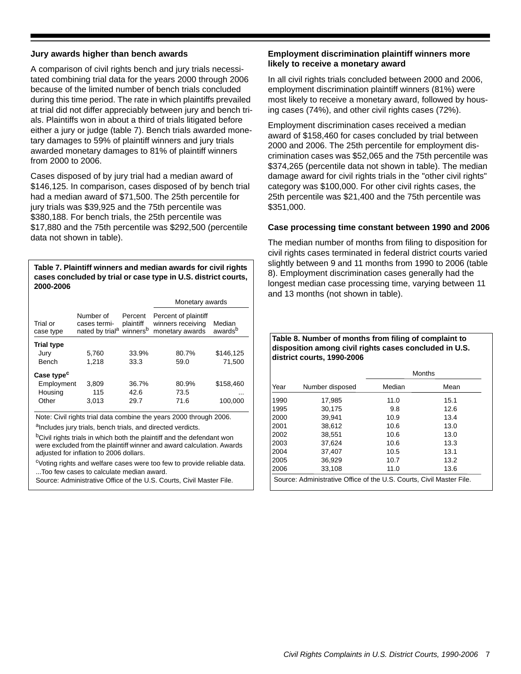#### **Jury awards higher than bench awards**

A comparison of civil rights bench and jury trials necessitated combining trial data for the years 2000 through 2006 because of the limited number of bench trials concluded during this time period. The rate in which plaintiffs prevailed at trial did not differ appreciably between jury and bench trials. Plaintiffs won in about a third of trials litigated before either a jury or judge (table 7). Bench trials awarded monetary damages to 59% of plaintiff winners and jury trials awarded monetary damages to 81% of plaintiff winners from 2000 to 2006.

Cases disposed of by jury trial had a median award of \$146,125. In comparison, cases disposed of by bench trial had a median award of \$71,500. The 25th percentile for jury trials was \$39,925 and the 75th percentile was \$380,188. For bench trials, the 25th percentile was \$17,880 and the 75th percentile was \$292,500 (percentile data not shown in table).

**Table 7. Plaintiff winners and median awards for civil rights cases concluded by trial or case type in U.S. district courts, 2000-2006** 

|                        |                                                                               |                      | Monetary awards                                              |                               |  |
|------------------------|-------------------------------------------------------------------------------|----------------------|--------------------------------------------------------------|-------------------------------|--|
| Trial or<br>case type  | Number of<br>cases termi-<br>nated by trial <sup>a</sup> winners <sup>b</sup> | Percent<br>plaintiff | Percent of plaintiff<br>winners receiving<br>monetary awards | Median<br>awards <sup>b</sup> |  |
| <b>Trial type</b>      |                                                                               |                      |                                                              |                               |  |
| Jury                   | 5.760                                                                         | 33.9%                | 80.7%                                                        | \$146,125                     |  |
| <b>Bench</b>           | 1,218                                                                         | 33.3                 | 59.0                                                         | 71,500                        |  |
| Case type <sup>c</sup> |                                                                               |                      |                                                              |                               |  |
| Employment             | 3,809                                                                         | 36.7%                | 80.9%                                                        | \$158,460                     |  |
| Housing                | 115                                                                           | 42.6                 | 73.5                                                         | $\cdots$                      |  |
| Other                  | 3,013                                                                         | 29.7                 | 71.6                                                         | 100.000                       |  |

Note: Civil rights trial data combine the years 2000 through 2006.

alncludes jury trials, bench trials, and directed verdicts.

<sup>b</sup>Civil rights trials in which both the plaintiff and the defendant won were excluded from the plaintiff winner and award calculation. Awards adjusted for inflation to 2006 dollars.

<sup>c</sup>Voting rights and welfare cases were too few to provide reliable data. ...Too few cases to calculate median award.

Source: Administrative Office of the U.S. Courts, Civil Master File.

#### **Employment discrimination plaintiff winners more likely to receive a monetary award**

In all civil rights trials concluded between 2000 and 2006, employment discrimination plaintiff winners (81%) were most likely to receive a monetary award, followed by housing cases (74%), and other civil rights cases (72%).

Employment discrimination cases received a median award of \$158,460 for cases concluded by trial between 2000 and 2006. The 25th percentile for employment discrimination cases was \$52,065 and the 75th percentile was \$374,265 (percentile data not shown in table). The median damage award for civil rights trials in the "other civil rights" category was \$100,000. For other civil rights cases, the 25th percentile was \$21,400 and the 75th percentile was \$351,000.

#### **Case processing time constant between 1990 and 2006**

The median number of months from filing to disposition for civil rights cases terminated in federal district courts varied slightly between 9 and 11 months from 1990 to 2006 (table 8). Employment discrimination cases generally had the longest median case processing time, varying between 11 and 13 months (not shown in table).

#### **Table 8. Number of months from filing of complaint to disposition among civil rights cases concluded in U.S. district courts, 1990-2006**

|      |                                                                      |        | <b>Months</b> |
|------|----------------------------------------------------------------------|--------|---------------|
| Year | Number disposed                                                      | Median | Mean          |
| 1990 | 17,985                                                               | 11.0   | 15.1          |
| 1995 | 30.175                                                               | 9.8    | 12.6          |
| 2000 | 39.941                                                               | 10.9   | 13.4          |
| 2001 | 38.612                                                               | 10.6   | 13.0          |
| 2002 | 38,551                                                               | 10.6   | 13.0          |
| 2003 | 37.624                                                               | 10.6   | 13.3          |
| 2004 | 37,407                                                               | 10.5   | 13.1          |
| 2005 | 36,929                                                               | 10.7   | 13.2          |
| 2006 | 33,108                                                               | 11.0   | 13.6          |
|      | Source: Administrative Office of the U.S. Courts, Civil Master File. |        |               |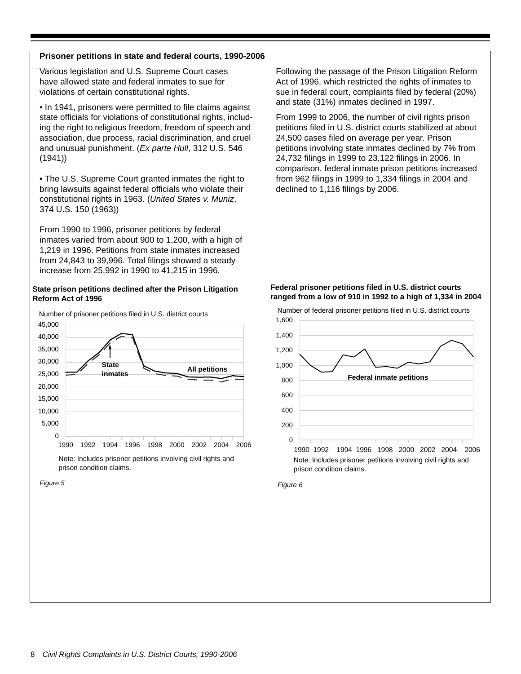#### **Prisoner petitions in state and federal courts, 1990-2006**

Various legislation and U.S. Supreme Court cases have allowed state and federal inmates to sue for violations of certain constitutional rights.

• In 1941, prisoners were permitted to file claims against state officials for violations of constitutional rights, including the right to religious freedom, freedom of speech and association, due process, racial discrimination, and cruel and unusual punishment. (*Ex parte Hull*, 312 U.S. 546 (1941))

• The U.S. Supreme Court granted inmates the right to bring lawsuits against federal officials who violate their constitutional rights in 1963. (*United States v. Muniz*, 374 U.S. 150 (1963))

From 1990 to 1996, prisoner petitions by federal inmates varied from about 900 to 1,200, with a high of 1,219 in 1996. Petitions from state inmates increased from 24,843 to 39,996. Total filings showed a steady increase from 25,992 in 1990 to 41,215 in 1996.

#### **State prison petitions declined after the Prison Litigation Reform Act of 1996**



From 1999 to 2006, the number of civil rights prison petitions filed in U.S. district courts stabilized at about 24,500 cases filed on average per year. Prison petitions involving state inmates declined by 7% from

24,732 filings in 1999 to 23,122 filings in 2006. In comparison, federal inmate prison petitions increased from 962 filings in 1999 to 1,334 filings in 2004 and declined to 1,116 filings by 2006.

Following the passage of the Prison Litigation Reform Act of 1996, which restricted the rights of inmates to sue in federal court, complaints filed by federal (20%)

and state (31%) inmates declined in 1997.

#### **Federal prisoner petitions filed in U.S. district courts ranged from a low of 910 in 1992 to a high of 1,334 in 2004**





*Figure 5*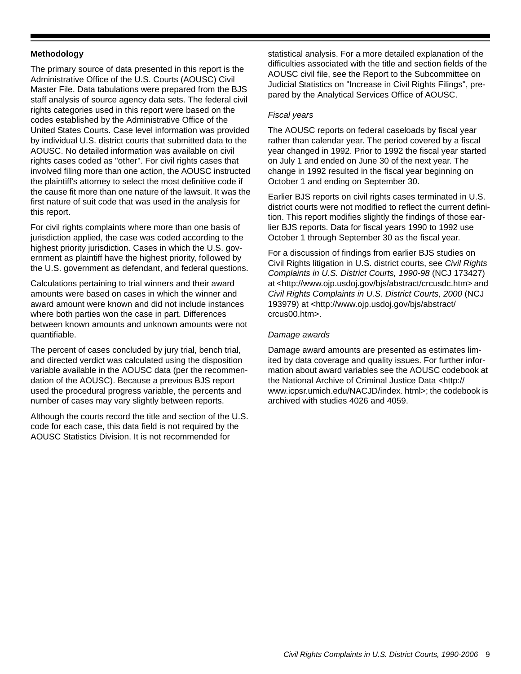#### **Methodology**

The primary source of data presented in this report is the Administrative Office of the U.S. Courts (AOUSC) Civil Master File. Data tabulations were prepared from the BJS staff analysis of source agency data sets. The federal civil rights categories used in this report were based on the codes established by the Administrative Office of the United States Courts. Case level information was provided by individual U.S. district courts that submitted data to the AOUSC. No detailed information was available on civil rights cases coded as "other". For civil rights cases that involved filing more than one action, the AOUSC instructed the plaintiff's attorney to select the most definitive code if the cause fit more than one nature of the lawsuit. It was the first nature of suit code that was used in the analysis for this report.

For civil rights complaints where more than one basis of jurisdiction applied, the case was coded according to the highest priority jurisdiction. Cases in which the U.S. government as plaintiff have the highest priority, followed by the U.S. government as defendant, and federal questions.

Calculations pertaining to trial winners and their award amounts were based on cases in which the winner and award amount were known and did not include instances where both parties won the case in part. Differences between known amounts and unknown amounts were not quantifiable.

The percent of cases concluded by jury trial, bench trial, and directed verdict was calculated using the disposition variable available in the AOUSC data (per the recommendation of the AOUSC). Because a previous BJS report used the procedural progress variable, the percents and number of cases may vary slightly between reports.

Although the courts record the title and section of the U.S. code for each case, this data field is not required by the AOUSC Statistics Division. It is not recommended for

statistical analysis. For a more detailed explanation of the difficulties associated with the title and section fields of the AOUSC civil file, see the Report to the Subcommittee on Judicial Statistics on "Increase in Civil Rights Filings", prepared by the Analytical Services Office of AOUSC.

#### *Fiscal years*

The AOUSC reports on federal caseloads by fiscal year rather than calendar year. The period covered by a fiscal year changed in 1992. Prior to 1992 the fiscal year started on July 1 and ended on June 30 of the next year. The change in 1992 resulted in the fiscal year beginning on October 1 and ending on September 30.

Earlier BJS reports on civil rights cases terminated in U.S. district courts were not modified to reflect the current definition. This report modifies slightly the findings of those earlier BJS reports. Data for fiscal years 1990 to 1992 use October 1 through September 30 as the fiscal year.

For a discussion of findings from earlier BJS studies on Civil Rights litigation in U.S. district courts, see *Civil Rights Complaints in U.S. District Courts, 1990-98* (NCJ 173427) at <http://www.ojp.usdoj.gov/bjs/abstract/crcusdc.htm> and *Civil Rights Complaints in U.S. District Courts, 2000* (NCJ 193979) at <http://www.ojp.usdoj.gov/bjs/abstract/ crcus00.htm>.

#### *Damage awards*

Damage award amounts are presented as estimates limited by data coverage and quality issues. For further information about award variables see the AOUSC codebook at the National Archive of Criminal Justice Data <http:// www.icpsr.umich.edu/NACJD/index. html>; the codebook is archived with studies 4026 and 4059.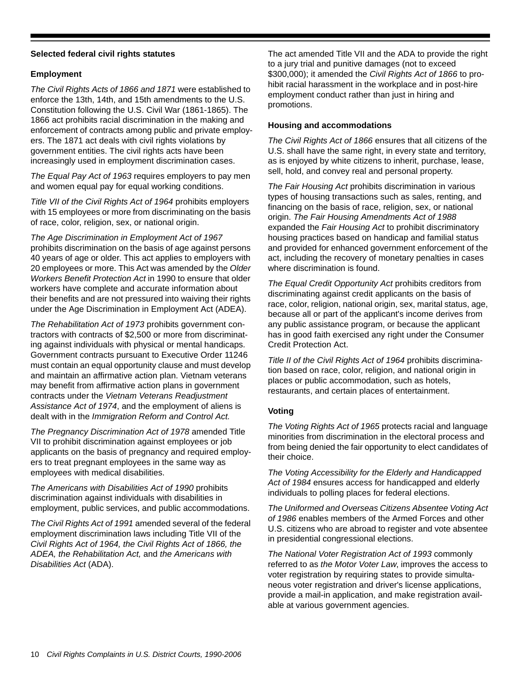#### **Selected federal civil rights statutes**

#### **Employment**

*The Civil Rights Acts of 1866 and 1871* were established to enforce the 13th, 14th, and 15th amendments to the U.S. Constitution following the U.S. Civil War (1861-1865). The 1866 act prohibits racial discrimination in the making and enforcement of contracts among public and private employers. The 1871 act deals with civil rights violations by government entities. The civil rights acts have been increasingly used in employment discrimination cases.

*The Equal Pay Act of 1963* requires employers to pay men and women equal pay for equal working conditions.

*Title VII of the Civil Rights Act of 1964* prohibits employers with 15 employees or more from discriminating on the basis of race, color, religion, sex, or national origin.

*The Age Discrimination in Employment Act of 1967* prohibits discrimination on the basis of age against persons 40 years of age or older. This act applies to employers with 20 employees or more. This Act was amended by the *Older Workers Benefit Protection Act* in 1990 to ensure that older workers have complete and accurate information about their benefits and are not pressured into waiving their rights under the Age Discrimination in Employment Act (ADEA).

*The Rehabilitation Act of 1973* prohibits government contractors with contracts of \$2,500 or more from discriminating against individuals with physical or mental handicaps. Government contracts pursuant to Executive Order 11246 must contain an equal opportunity clause and must develop and maintain an affirmative action plan. Vietnam veterans may benefit from affirmative action plans in government contracts under the *Vietnam Veterans Readjustment Assistance Act of 1974*, and the employment of aliens is dealt with in the *Immigration Reform and Control Act.*

*The Pregnancy Discrimination Act of 1978* amended Title VII to prohibit discrimination against employees or job applicants on the basis of pregnancy and required employers to treat pregnant employees in the same way as employees with medical disabilities.

*The Americans with Disabilities Act of 1990* prohibits discrimination against individuals with disabilities in employment, public services, and public accommodations.

*The Civil Rights Act of 1991* amended several of the federal employment discrimination laws including Title VII of the *Civil Rights Act of 1964, the Civil Rights Act of 1866, the ADEA, the Rehabilitation Act,* and *the Americans with Disabilities Act* (ADA).

The act amended Title VII and the ADA to provide the right to a jury trial and punitive damages (not to exceed \$300,000); it amended the *Civil Rights Act of 1866* to prohibit racial harassment in the workplace and in post-hire employment conduct rather than just in hiring and promotions.

#### **Housing and accommodations**

*The Civil Rights Act of 1866* ensures that all citizens of the U.S. shall have the same right, in every state and territory, as is enjoyed by white citizens to inherit, purchase, lease, sell, hold, and convey real and personal property.

*The Fair Housing Act* prohibits discrimination in various types of housing transactions such as sales, renting, and financing on the basis of race, religion, sex, or national origin. *The Fair Housing Amendments Act of 1988* expanded the *Fair Housing Act* to prohibit discriminatory housing practices based on handicap and familial status and provided for enhanced government enforcement of the act, including the recovery of monetary penalties in cases where discrimination is found.

*The Equal Credit Opportunity Act* prohibits creditors from discriminating against credit applicants on the basis of race, color, religion, national origin, sex, marital status, age, because all or part of the applicant's income derives from any public assistance program, or because the applicant has in good faith exercised any right under the Consumer Credit Protection Act.

*Title II of the Civil Rights Act of 1964* prohibits discrimination based on race, color, religion, and national origin in places or public accommodation, such as hotels, restaurants, and certain places of entertainment.

#### **Voting**

*The Voting Rights Act of 1965* protects racial and language minorities from discrimination in the electoral process and from being denied the fair opportunity to elect candidates of their choice.

*The Voting Accessibility for the Elderly and Handicapped Act of 1984* ensures access for handicapped and elderly individuals to polling places for federal elections.

*The Uniformed and Overseas Citizens Absentee Voting Act of 1986* enables members of the Armed Forces and other U.S. citizens who are abroad to register and vote absentee in presidential congressional elections.

*The National Voter Registration Act of 1993* commonly referred to as *the Motor Voter Law*, improves the access to voter registration by requiring states to provide simultaneous voter registration and driver's license applications, provide a mail-in application, and make registration available at various government agencies.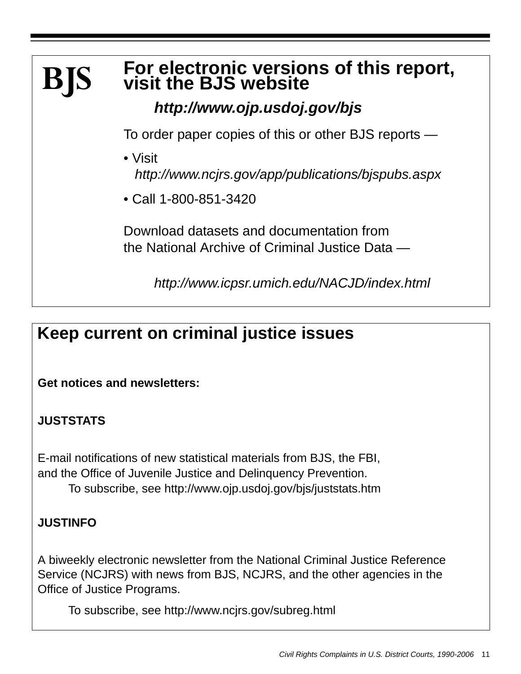### **For electronic versions of this report, visit the BJS website BJS**

## *http://www.ojp.usdoj.gov/bjs*

To order paper copies of this or other BJS reports —

- Visit *http://www.ncjrs.gov/app/publications/bjspubs.aspx*
- Call 1-800-851-3420

Download datasets and documentation from the National Archive of Criminal Justice Data —

*http://www.icpsr.umich.edu/NACJD/index.html*

# **Keep current on criminal justice issues**

**Get notices and newsletters:** 

## **JUSTSTATS**

E-mail notifications of new statistical materials from BJS, the FBI, and the Office of Juvenile Justice and Delinquency Prevention. To subscribe, see http://www.ojp.usdoj.gov/bjs/juststats.htm

### **JUSTINFO**

A biweekly electronic newsletter from the National Criminal Justice Reference Service (NCJRS) with news from BJS, NCJRS, and the other agencies in the Office of Justice Programs.

To subscribe, see http://www.ncjrs.gov/subreg.html